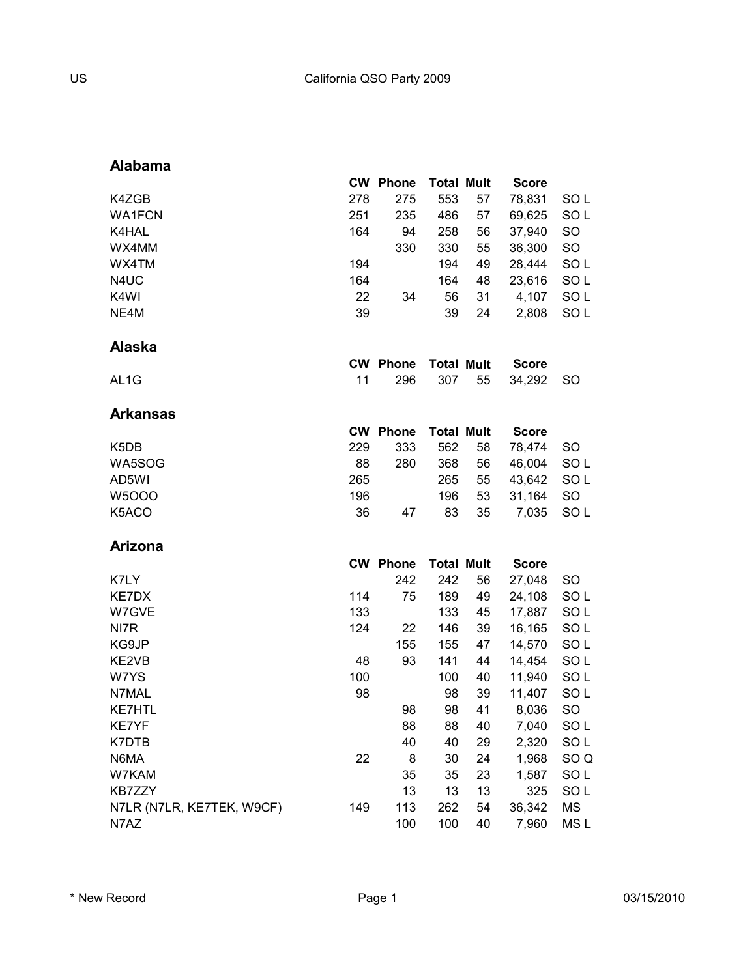#### **Alabama**

|                               |     | <b>CW Phone</b>        | <b>Total Mult</b>        |    | <b>Score</b>           |                 |
|-------------------------------|-----|------------------------|--------------------------|----|------------------------|-----------------|
| K4ZGB                         | 278 | 275                    | 553                      | 57 | 78,831                 | SOL             |
| <b>WA1FCN</b>                 | 251 | 235                    | 486                      | 57 | 69,625                 | SOL             |
| K4HAL                         | 164 | 94                     | 258                      | 56 | 37,940                 | SO              |
| WX4MM                         |     | 330                    | 330                      | 55 | 36,300                 | SO              |
| WX4TM                         | 194 |                        | 194                      | 49 | 28,444                 | SOL             |
| N4UC                          | 164 |                        | 164                      | 48 | 23,616                 | SOL             |
| K4WI                          | 22  | 34                     | 56                       | 31 | 4,107                  | SO <sub>L</sub> |
| NE4M                          | 39  |                        | 39                       | 24 | 2,808                  | SOL             |
|                               |     |                        |                          |    |                        |                 |
| <b>Alaska</b>                 |     |                        |                          |    |                        |                 |
|                               | 11  | <b>CW Phone</b><br>296 | <b>Total Mult</b><br>307 | 55 | <b>Score</b><br>34,292 |                 |
| AL <sub>1</sub> G             |     |                        |                          |    |                        | SO              |
| Arkansas                      |     |                        |                          |    |                        |                 |
|                               |     | <b>CW Phone</b>        | <b>Total Mult</b>        |    | <b>Score</b>           |                 |
| K <sub>5</sub> D <sub>B</sub> | 229 | 333                    | 562                      | 58 | 78,474                 | <b>SO</b>       |
| WA5SOG                        | 88  | 280                    | 368                      | 56 | 46,004                 | SOL             |
| AD5WI                         | 265 |                        | 265                      | 55 | 43,642                 | SO <sub>L</sub> |
| <b>W5OOO</b>                  | 196 |                        | 196                      | 53 | 31,164                 | <b>SO</b>       |
| K5ACO                         | 36  | 47                     | 83                       | 35 | 7,035                  | SO <sub>L</sub> |
| <b>Arizona</b>                |     |                        |                          |    |                        |                 |
|                               |     | <b>CW Phone</b>        | <b>Total Mult</b>        |    | <b>Score</b>           |                 |
| K7LY                          |     | 242                    | 242                      | 56 | 27,048                 | <b>SO</b>       |
| KE7DX                         | 114 | 75                     | 189                      | 49 | 24,108                 | SO <sub>L</sub> |
| W7GVE                         | 133 |                        | 133                      | 45 | 17,887                 | SO <sub>L</sub> |
| NI7R                          | 124 | 22                     | 146                      | 39 | 16,165                 | SOL             |
| KG9JP                         |     | 155                    | 155                      | 47 | 14,570                 | SO <sub>L</sub> |
| KE2VB                         | 48  | 93                     | 141                      | 44 | 14,454                 | SOL             |
| W7YS                          | 100 |                        | 100                      | 40 | 11,940                 | SO <sub>L</sub> |
| N7MAL                         | 98  |                        | 98                       | 39 | 11,407                 | SO <sub>L</sub> |
| <b>KE7HTL</b>                 |     | 98                     | 98                       | 41 | 8,036                  | SO              |
| <b>KE7YF</b>                  |     | 88                     | 88                       | 40 | 7,040                  | SO <sub>L</sub> |
| K7DTB                         |     | 40                     | 40                       | 29 | 2,320                  | SOL             |
| N6MA                          | 22  | 8                      | 30                       | 24 | 1,968                  | SO <sub>Q</sub> |
| W7KAM                         |     | 35                     | 35                       | 23 | 1,587                  | SO <sub>L</sub> |
| KB7ZZY                        |     | 13                     | 13                       | 13 | 325                    | SOL             |
| N7LR (N7LR, KE7TEK, W9CF)     | 149 | 113                    | 262                      | 54 | 36,342                 | <b>MS</b>       |
| N7AZ                          |     | 100                    | 100                      | 40 | 7,960                  | MS <sub>L</sub> |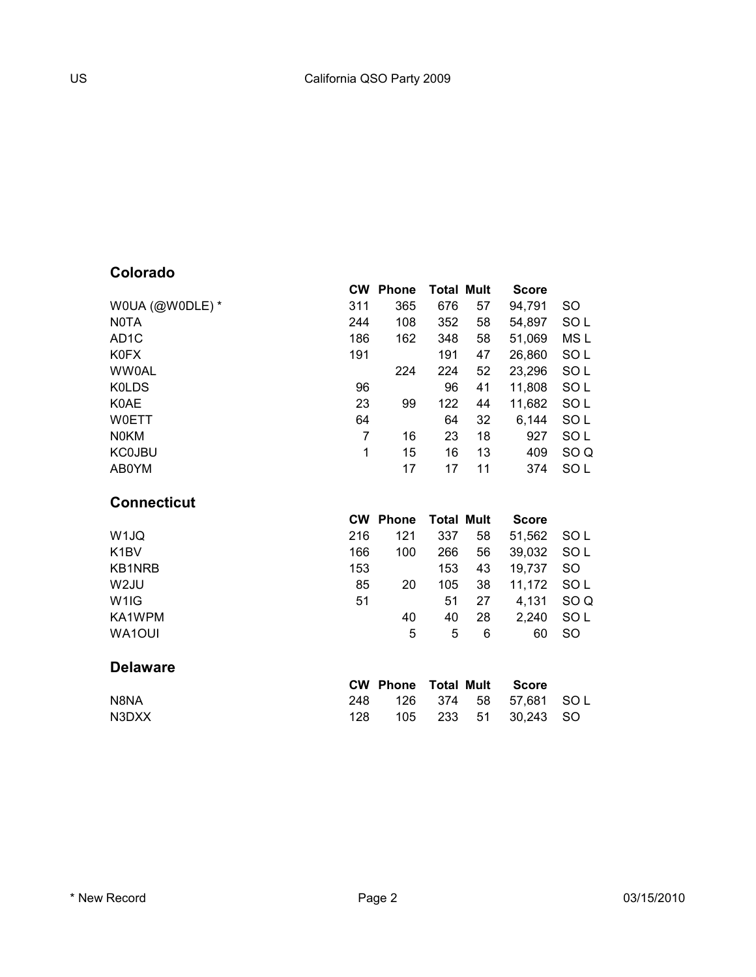### **Colorado**

|                    | <b>CW</b>      | <b>Phone</b>    | <b>Total Mult</b> |    | <b>Score</b> |                 |
|--------------------|----------------|-----------------|-------------------|----|--------------|-----------------|
| WOUA (@WODLE) *    | 311            | 365             | 676               | 57 | 94,791       | <b>SO</b>       |
| <b>NOTA</b>        | 244            | 108             | 352               | 58 | 54,897       | SO <sub>L</sub> |
| AD <sub>1</sub> C  | 186            | 162             | 348               | 58 | 51,069       | MS L            |
| K0FX               | 191            |                 | 191               | 47 | 26,860       | SOL             |
| <b>WW0AL</b>       |                | 224             | 224               | 52 | 23,296       | SO <sub>L</sub> |
| <b>KOLDS</b>       | 96             |                 | 96                | 41 | 11,808       | SO <sub>L</sub> |
| K0AE               | 23             | 99              | 122               | 44 | 11,682       | SOL             |
| <b>WOETT</b>       | 64             |                 | 64                | 32 | 6,144        | SOL             |
| <b>NOKM</b>        | $\overline{7}$ | 16              | 23                | 18 | 927          | SO <sub>L</sub> |
| <b>KC0JBU</b>      | 1              | 15              | 16                | 13 | 409          | SO <sub>Q</sub> |
| AB0YM              |                | 17              | 17                | 11 | 374          | SO <sub>L</sub> |
| <b>Connecticut</b> |                |                 |                   |    |              |                 |
|                    | <b>CW</b>      | <b>Phone</b>    | <b>Total Mult</b> |    | <b>Score</b> |                 |
| W <sub>1JQ</sub>   | 216            | 121             | 337               | 58 | 51,562       | SO <sub>L</sub> |
| K <sub>1</sub> BV  | 166            | 100             | 266               | 56 | 39,032       | SO <sub>L</sub> |
| <b>KB1NRB</b>      | 153            |                 | 153               | 43 | 19,737       | <b>SO</b>       |
| W <sub>2JU</sub>   | 85             | 20              | 105               | 38 | 11,172       | SO <sub>L</sub> |
| W <sub>1</sub> IG  | 51             |                 | 51                | 27 | 4,131        | SO <sub>Q</sub> |
| KA1WPM             |                | 40              | 40                | 28 | 2,240        | SO <sub>L</sub> |
| WA1OUI             |                | 5               | 5                 | 6  | 60           | <b>SO</b>       |
| <b>Delaware</b>    |                |                 |                   |    |              |                 |
|                    |                | <b>CW Phone</b> | <b>Total Mult</b> |    | <b>Score</b> |                 |
| N8NA               | 248            | 126             | 374               | 58 | 57,681       | SO L            |
| N3DXX              | 128            |                 |                   |    |              |                 |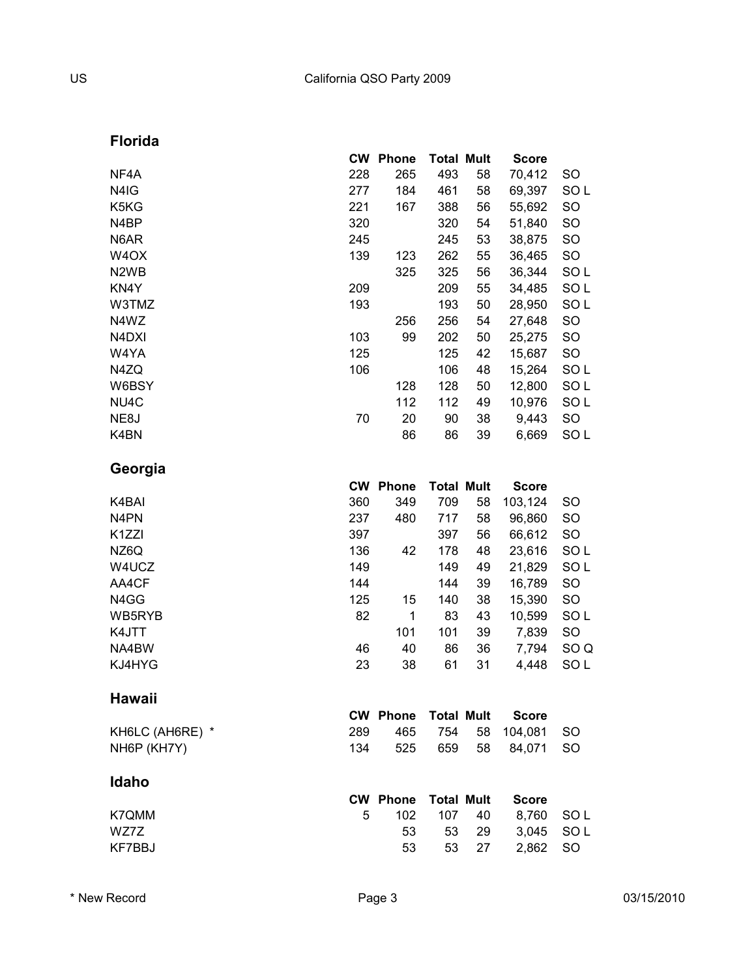**Florida**

|                                | <b>CW</b> | <b>Phone</b>    | <b>Total Mult</b> |    | <b>Score</b> |                 |
|--------------------------------|-----------|-----------------|-------------------|----|--------------|-----------------|
| NF4A                           | 228       | 265             | 493               | 58 | 70,412       | SO              |
| N4IG                           | 277       | 184             | 461               | 58 | 69,397       | SOL             |
| K5KG                           | 221       | 167             | 388               | 56 | 55,692       | SO              |
| N4BP                           | 320       |                 | 320               | 54 | 51,840       | SO              |
| N6AR                           | 245       |                 | 245               | 53 | 38,875       | SO              |
| W <sub>4</sub> OX              | 139       | 123             | 262               | 55 | 36,465       | SO              |
| N <sub>2</sub> W <sub>B</sub>  |           | 325             | 325               | 56 | 36,344       | SO <sub>L</sub> |
| KN4Y                           | 209       |                 | 209               | 55 | 34,485       | SO <sub>L</sub> |
| W3TMZ                          | 193       |                 | 193               | 50 | 28,950       | SO <sub>L</sub> |
| N4WZ                           |           | 256             | 256               | 54 | 27,648       | SO              |
| N <sub>4</sub> D <sub>XI</sub> | 103       | 99              | 202               | 50 | 25,275       | SO              |
| W4YA                           | 125       |                 | 125               | 42 | 15,687       | SO              |
| N4ZQ                           | 106       |                 | 106               | 48 | 15,264       | SO <sub>L</sub> |
| W6BSY                          |           | 128             | 128               | 50 | 12,800       | SO <sub>L</sub> |
| NU4C                           |           | 112             | 112               | 49 | 10,976       | SOL             |
| NE8J                           | 70        | 20              | 90                | 38 | 9,443        | SO              |
| K4BN                           |           | 86              | 86                | 39 | 6,669        | SO <sub>L</sub> |
| Georgia                        |           |                 |                   |    |              |                 |
|                                |           | <b>CW Phone</b> | <b>Total Mult</b> |    | <b>Score</b> |                 |
| K4BAI                          | 360       | 349             | 709               | 58 | 103,124      | SO              |
| N <sub>4</sub> PN              | 237       | 480             | 717               | 58 | 96,860       | SO              |
| K <sub>1</sub> ZZI             | 397       |                 | 397               | 56 | 66,612       | SO              |
| NZ6Q                           | 136       | 42              | 178               | 48 | 23,616       | SOL             |
| W4UCZ                          | 149       |                 | 149               | 49 | 21,829       | SO <sub>L</sub> |
| AA4CF                          | 144       |                 | 144               | 39 | 16,789       | SO              |
| N4GG                           | 125       | 15              | 140               | 38 | 15,390       | SO              |
| WB5RYB                         | 82        | 1               | 83                | 43 | 10,599       | SO L            |
| K4JTT                          |           | 101             | 101               | 39 | 7,839        | <b>SO</b>       |
| NA4BW                          | 46        | 40              | 86                | 36 | 7,794        | SO <sub>Q</sub> |
| KJ4HYG                         | 23        | 38              | 61                | 31 | 4,448        | SO <sub>L</sub> |
| Hawaii                         |           |                 |                   |    |              |                 |
|                                |           | <b>CW Phone</b> | <b>Total Mult</b> |    | <b>Score</b> |                 |
| KH6LC (AH6RE) *                | 289       | 465             | 754               | 58 | 104,081      | <b>SO</b>       |
| NH6P (KH7Y)                    | 134       | 525             | 659               | 58 | 84,071       | <b>SO</b>       |
| Idaho                          |           |                 |                   |    |              |                 |
|                                |           | <b>CW Phone</b> | <b>Total Mult</b> |    | <b>Score</b> |                 |
| K7QMM                          | 5         | 102             | 107               | 40 | 8,760        | SO L            |
| WZ7Z                           |           | 53              | 53                | 29 | 3,045        | SO <sub>L</sub> |
| KF7BBJ                         |           | 53              | 53                | 27 | 2,862        | <b>SO</b>       |
|                                |           |                 |                   |    |              |                 |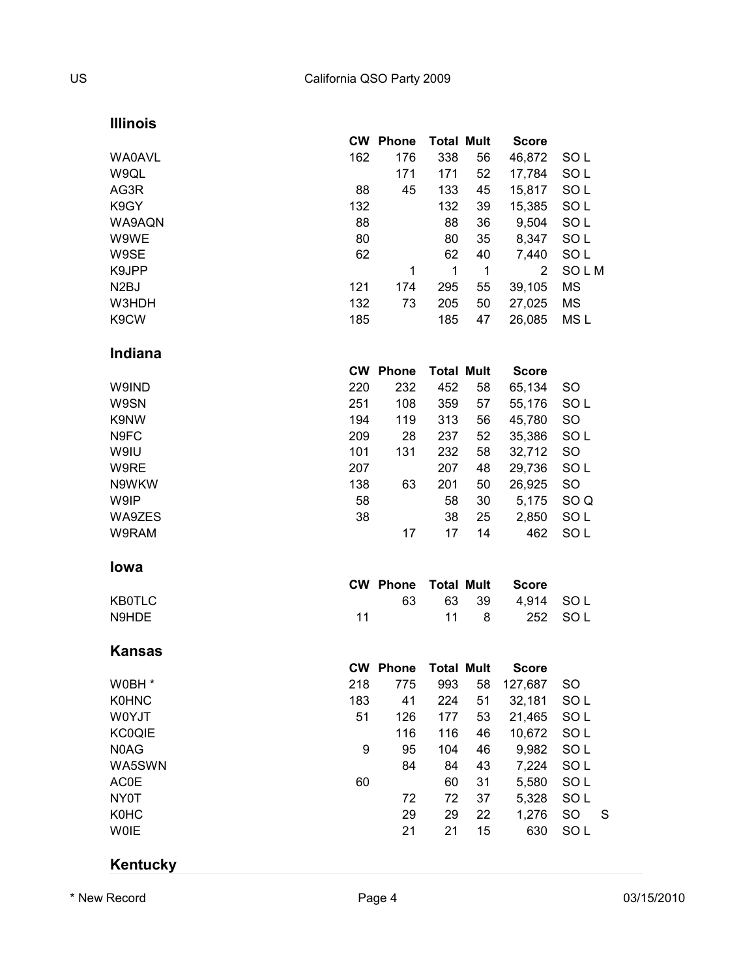#### **Illinois**

|     |     |                                                                          |    | <b>Score</b>                                                                           |                 |
|-----|-----|--------------------------------------------------------------------------|----|----------------------------------------------------------------------------------------|-----------------|
| 162 | 176 | 338                                                                      | 56 | 46,872                                                                                 | SO L            |
|     | 171 | 171                                                                      | 52 | 17,784                                                                                 | SO <sub>L</sub> |
| 88  | 45  | 133                                                                      | 45 | 15,817                                                                                 | SOL             |
| 132 |     | 132                                                                      | 39 | 15,385                                                                                 | SO <sub>L</sub> |
| 88  |     | 88                                                                       | 36 | 9,504                                                                                  | SO <sub>L</sub> |
| 80  |     | 80                                                                       | 35 | 8,347                                                                                  | SO <sub>L</sub> |
| 62  |     | 62                                                                       | 40 | 7,440                                                                                  | SO <sub>L</sub> |
|     | 1   | 1                                                                        | 1  | 2                                                                                      | SOLM            |
| 121 | 174 | 295                                                                      | 55 | 39,105                                                                                 | <b>MS</b>       |
| 132 | 73  | 205                                                                      | 50 | 27,025                                                                                 | <b>MS</b>       |
| 185 |     | 185                                                                      | 47 | 26,085                                                                                 | MS <sub>L</sub> |
|     |     |                                                                          |    |                                                                                        |                 |
|     |     |                                                                          |    | <b>Score</b>                                                                           |                 |
| 220 | 232 | 452                                                                      | 58 | 65,134                                                                                 | <b>SO</b>       |
| 251 | 108 | 359                                                                      | 57 | 55,176                                                                                 | SO <sub>L</sub> |
| 194 | 119 | 313                                                                      | 56 | 45,780                                                                                 | SO              |
| 209 | 28  | 237                                                                      | 52 | 35,386                                                                                 | SO <sub>L</sub> |
| 101 | 131 | 232                                                                      | 58 | 32,712                                                                                 | <b>SO</b>       |
| 207 |     | 207                                                                      | 48 | 29,736                                                                                 | SO <sub>L</sub> |
| 138 | 63  | 201                                                                      | 50 | 26,925                                                                                 | SO              |
| 58  |     | 58                                                                       | 30 | 5,175                                                                                  | SO <sub>Q</sub> |
| 38  |     | 38                                                                       | 25 | 2,850                                                                                  | SO <sub>L</sub> |
|     | 17  | 17                                                                       | 14 | 462                                                                                    | SOL             |
|     |     |                                                                          |    |                                                                                        |                 |
|     |     |                                                                          |    | <b>Score</b>                                                                           |                 |
|     | 63  | 63                                                                       | 39 | 4,914                                                                                  | SOL             |
| 11  |     | 11                                                                       | 8  | 252                                                                                    | SO <sub>L</sub> |
|     |     |                                                                          |    |                                                                                        |                 |
|     |     |                                                                          |    | <b>Score</b>                                                                           |                 |
| 218 | 775 | 993                                                                      | 58 | 127,687                                                                                | SO              |
| 183 | 41  | 224                                                                      | 51 | 32,181                                                                                 | SO <sub>L</sub> |
| 51  | 126 | 177                                                                      |    |                                                                                        | SO <sub>L</sub> |
|     | 116 | 116                                                                      | 46 | 10,672                                                                                 | SO <sub>L</sub> |
| 9   | 95  | 104                                                                      | 46 | 9,982                                                                                  | SO <sub>L</sub> |
|     | 84  | 84                                                                       | 43 | 7,224                                                                                  | SO <sub>L</sub> |
| 60  |     | 60                                                                       | 31 | 5,580                                                                                  | SO <sub>L</sub> |
|     | 72  | 72                                                                       | 37 | 5,328                                                                                  | SO <sub>L</sub> |
|     |     | <b>CW Phone</b><br><b>CW Phone</b><br><b>CW Phone</b><br><b>CW Phone</b> |    | <b>Total Mult</b><br><b>Total Mult</b><br><b>Total Mult</b><br><b>Total Mult</b><br>53 | 21,465          |

## **Kentucky**

\* New Record **CONFERGATE:** Page 4 2 03/15/2010

K0HC 29 29 22 1,276 SO S W0IE 21 21 15 630 SO L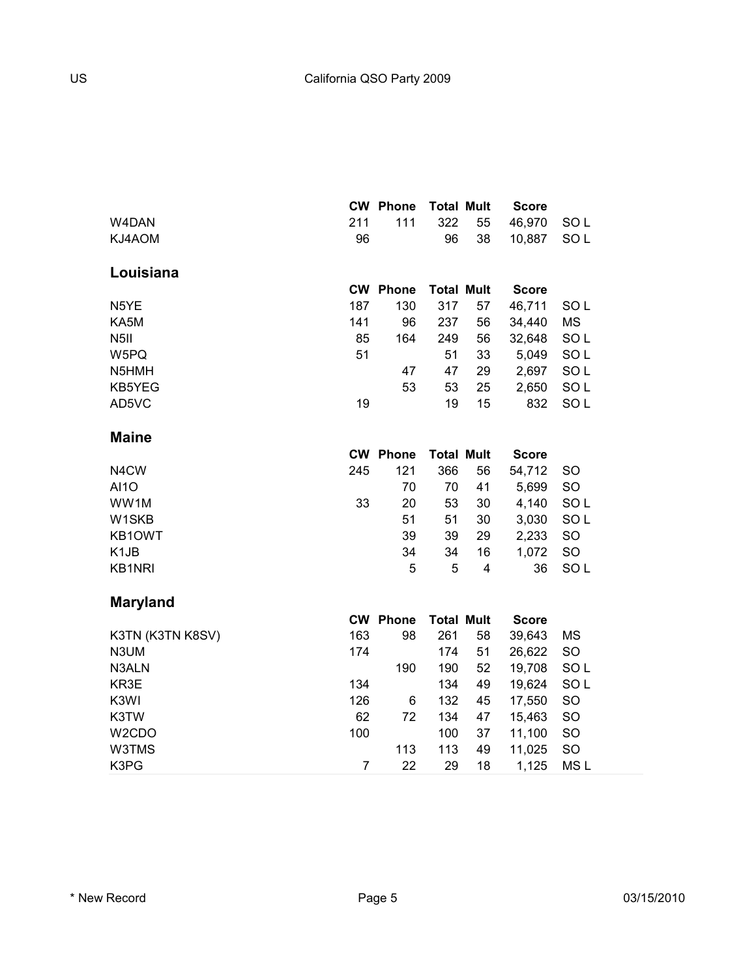|                    |                | <b>CW Phone</b> | <b>Total Mult</b> |    | <b>Score</b> |                 |
|--------------------|----------------|-----------------|-------------------|----|--------------|-----------------|
| W4DAN              | 211            | 111             | 322               | 55 | 46,970       | SO <sub>L</sub> |
| KJ4AOM             | 96             |                 | 96                | 38 | 10,887       | SO <sub>L</sub> |
| Louisiana          |                |                 |                   |    |              |                 |
|                    |                | <b>CW Phone</b> | <b>Total Mult</b> |    | <b>Score</b> |                 |
| N5YE               | 187            | 130             | 317               | 57 | 46,711       | SO <sub>L</sub> |
| KA5M               | 141            | 96              | 237               | 56 | 34,440       | MS              |
| N <sub>5</sub> II  | 85             | 164             | 249               | 56 | 32,648       | SOL             |
| W5PQ               | 51             |                 | 51                | 33 | 5,049        | SO <sub>L</sub> |
| N5HMH              |                | 47              | 47                | 29 | 2,697        | SO <sub>L</sub> |
| KB5YEG             |                | 53              | 53                | 25 | 2,650        | SO <sub>L</sub> |
| AD5VC              | 19             |                 | 19                | 15 | 832          | SO <sub>L</sub> |
| <b>Maine</b>       |                |                 |                   |    |              |                 |
|                    |                | <b>CW Phone</b> | <b>Total Mult</b> |    | <b>Score</b> |                 |
| N4CW               | 245            | 121             | 366               | 56 | 54,712       | <b>SO</b>       |
| <b>AI10</b>        |                | 70              | 70                | 41 | 5,699        | <b>SO</b>       |
| WW1M               | 33             | 20              | 53                | 30 | 4,140        | SOL             |
| W1SKB              |                | 51              | 51                | 30 | 3,030        | SO <sub>L</sub> |
| KB1OWT             |                | 39              | 39                | 29 | 2,233        | SO              |
| K <sub>1</sub> JB  |                | 34              | 34                | 16 | 1,072        | SO              |
| <b>KB1NRI</b>      |                | 5               | 5                 | 4  | 36           | SO <sub>L</sub> |
| <b>Maryland</b>    |                |                 |                   |    |              |                 |
|                    |                | <b>CW Phone</b> | <b>Total Mult</b> |    | <b>Score</b> |                 |
| K3TN (K3TN K8SV)   | 163            | 98              | 261               | 58 | 39,643       | <b>MS</b>       |
| N3UM               | 174            |                 | 174               | 51 | 26,622       | SO              |
| N3ALN              |                | 190             | 190               | 52 | 19,708       | SOL             |
| KR3E               | 134            |                 | 134               | 49 | 19,624       | SO <sub>L</sub> |
| K3WI               | 126            | 6               | 132               | 45 | 17,550       | SO              |
| K3TW               | 62             | 72              | 134               | 47 | 15,463       | SO              |
| W <sub>2</sub> CDO | 100            |                 | 100               | 37 | 11,100       | SO              |
| W3TMS              |                | 113             | 113               | 49 | 11,025       | SO              |
| K3PG               | $\overline{7}$ | 22              | 29                | 18 | 1,125        | MS <sub>L</sub> |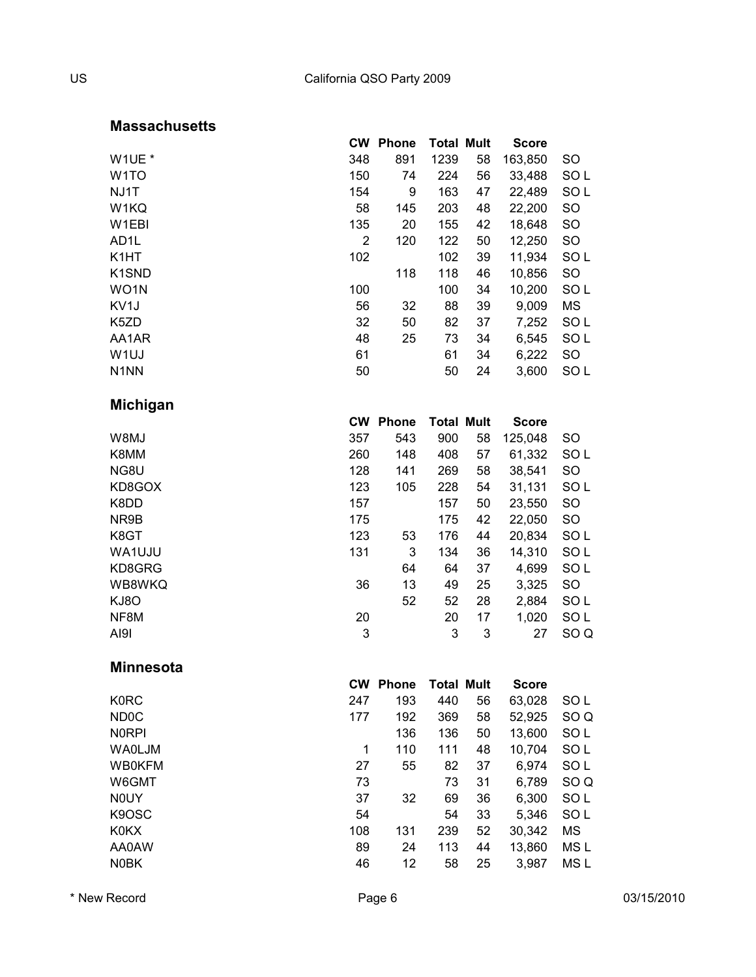#### **Massachusetts**

|                                | <b>CW</b>      | <b>Phone</b>    | <b>Total Mult</b> |    | <b>Score</b> |                 |
|--------------------------------|----------------|-----------------|-------------------|----|--------------|-----------------|
| W1UE *                         | 348            | 891             | 1239              | 58 | 163,850      | SO              |
| W <sub>1</sub> TO              | 150            | 74              | 224               | 56 | 33,488       | SOL             |
| NJ1T                           | 154            | 9               | 163               | 47 | 22,489       | SO <sub>L</sub> |
| W1KQ                           | 58             | 145             | 203               | 48 | 22,200       | SO              |
| W1EBI                          | 135            | 20              | 155               | 42 | 18,648       | SO              |
| AD <sub>1</sub> L              | $\overline{2}$ | 120             | 122               | 50 | 12,250       | <b>SO</b>       |
| K <sub>1</sub> HT              | 102            |                 | 102               | 39 | 11,934       | SO <sub>L</sub> |
| K <sub>1</sub> SN <sub>D</sub> |                | 118             | 118               | 46 | 10,856       | SO              |
| WO1N                           | 100            |                 | 100               | 34 | 10,200       | SO <sub>L</sub> |
| KV1J                           | 56             | 32              | 88                | 39 | 9,009        | MS              |
| K5ZD                           | 32             | 50              | 82                | 37 | 7,252        | SOL             |
| AA1AR                          | 48             | 25              | 73                | 34 | 6,545        | SO <sub>L</sub> |
| W <sub>1UJ</sub>               | 61             |                 | 61                | 34 | 6,222        | SO              |
| N <sub>1</sub> NN              | 50             |                 | 50                | 24 | 3,600        | SO <sub>L</sub> |
| <b>Michigan</b>                |                |                 |                   |    |              |                 |
|                                |                | <b>CW Phone</b> | <b>Total Mult</b> |    | <b>Score</b> |                 |
| W8MJ                           | 357            | 543             | 900               | 58 | 125,048      | SO              |
| K8MM                           | 260            | 148             | 408               | 57 | 61,332       | SO <sub>L</sub> |
| NG8U                           | 128            | 141             | 269               | 58 | 38,541       | <b>SO</b>       |
| KD8GOX                         | 123            | 105             | 228               | 54 | 31,131       | SOL             |
| K8DD                           | 157            |                 | 157               | 50 | 23,550       | SO              |
| NR9B                           | 175            |                 | 175               | 42 | 22,050       | SO              |
| K8GT                           | 123            | 53              | 176               | 44 | 20,834       | SOL             |
| WA1UJU                         | 131            | 3               | 134               | 36 | 14,310       | SO <sub>L</sub> |
| KD8GRG                         |                | 64              | 64                | 37 | 4,699        | SO <sub>L</sub> |
| WB8WKQ                         | 36             | 13              | 49                | 25 | 3,325        | SO              |
| KJ8O                           |                | 52              | 52                | 28 | 2,884        | SO <sub>L</sub> |
| NF8M                           | 20             |                 | 20                | 17 | 1,020        | SO <sub>L</sub> |
| AI91                           | 3              |                 | 3                 | 3  | 27           | SO <sub>Q</sub> |
| <b>Minnesota</b>               |                |                 |                   |    |              |                 |
|                                |                | <b>CW Phone</b> | <b>Total Mult</b> |    | <b>Score</b> |                 |
| <b>K0RC</b>                    | 247            | 193             | 440               | 56 | 63,028       | SO <sub>L</sub> |
| ND <sub>0</sub> C              | 177            | 192             | 369               | 58 | 52,925       | SO <sub>Q</sub> |
| <b>NORPI</b>                   |                | 136             | 136               | 50 | 13,600       | SO <sub>L</sub> |
| <b>WA0LJM</b>                  | 1              | 110             | 111               | 48 | 10,704       | SO <sub>L</sub> |
| <b>WB0KFM</b>                  | 27             | 55              | 82                | 37 | 6,974        | SO <sub>L</sub> |
| W6GMT                          | 73             |                 | 73                | 31 | 6,789        | SO <sub>Q</sub> |
| <b>NOUY</b>                    | 37             | 32              | 69                | 36 | 6,300        | SO <sub>L</sub> |
| K9OSC                          | 54             |                 | 54                | 33 | 5,346        | SO <sub>L</sub> |
| <b>K0KX</b>                    | 108            | 131             | 239               | 52 | 30,342       | ΜS              |
| AA0AW                          | 89             | 24              | 113               | 44 | 13,860       | MS <sub>L</sub> |
| <b>N0BK</b>                    | 46             | 12              | 58                | 25 | 3,987        | MS L            |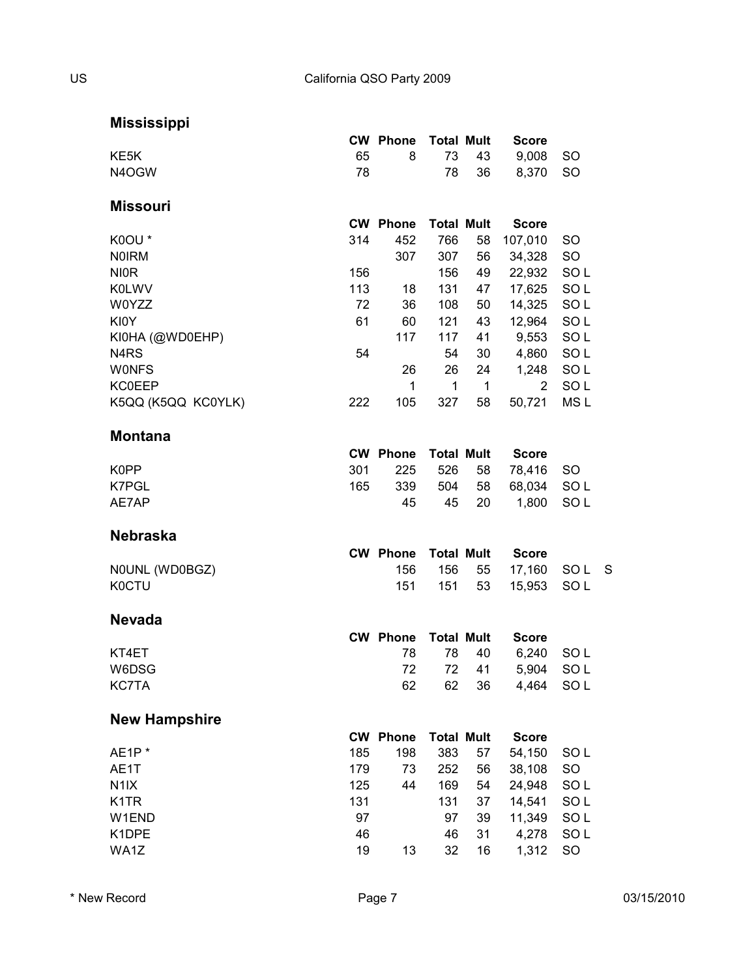**Mississippi**

|                               |     | <b>CW Phone</b> | <b>Total Mult</b> |    | <b>Score</b>   |                 |              |
|-------------------------------|-----|-----------------|-------------------|----|----------------|-----------------|--------------|
| KE <sub>5</sub> K             | 65  | 8               | 73                | 43 | 9,008          | <b>SO</b>       |              |
| N4OGW                         | 78  |                 | 78                | 36 | 8,370          | <b>SO</b>       |              |
|                               |     |                 |                   |    |                |                 |              |
| <b>Missouri</b>               |     |                 |                   |    |                |                 |              |
|                               |     | <b>CW Phone</b> | <b>Total Mult</b> |    | <b>Score</b>   |                 |              |
| K0OU*                         | 314 | 452             | 766               | 58 | 107,010        | SO.             |              |
| <b>NOIRM</b>                  |     | 307             | 307               | 56 | 34,328         | <b>SO</b>       |              |
| <b>NIOR</b>                   | 156 |                 | 156               | 49 | 22,932         | SO <sub>L</sub> |              |
| <b>K0LWV</b>                  | 113 | 18              | 131               | 47 | 17,625         | SO <sub>L</sub> |              |
| W0YZZ                         | 72  | 36              | 108               | 50 | 14,325         | SOL             |              |
| <b>KI0Y</b>                   | 61  | 60              | 121               | 43 | 12,964         | SOL             |              |
| KI0HA (@WD0EHP)               |     | 117             | 117               | 41 | 9,553          | SOL             |              |
| N <sub>4</sub> R <sub>S</sub> | 54  |                 | 54                | 30 | 4,860          | SOL             |              |
| <b>WONFS</b>                  |     | 26              | 26                | 24 | 1,248          | SOL             |              |
| <b>KC0EEP</b>                 |     | 1               | 1                 | 1  | $\overline{2}$ | SO <sub>L</sub> |              |
| K5QQ (K5QQ KC0YLK)            | 222 | 105             | 327               | 58 | 50,721         | MS <sub>L</sub> |              |
|                               |     |                 |                   |    |                |                 |              |
| <b>Montana</b>                |     |                 |                   |    |                |                 |              |
|                               |     | <b>CW Phone</b> | <b>Total Mult</b> |    | <b>Score</b>   |                 |              |
| K0PP                          | 301 | 225             | 526               | 58 | 78,416         | <b>SO</b>       |              |
| K7PGL                         | 165 | 339             | 504               | 58 | 68,034         | SO <sub>L</sub> |              |
| AE7AP                         |     | 45              | 45                | 20 | 1,800          | SOL             |              |
|                               |     |                 |                   |    |                |                 |              |
| <b>Nebraska</b>               |     |                 |                   |    |                |                 |              |
|                               |     | <b>CW Phone</b> | <b>Total Mult</b> |    | <b>Score</b>   |                 |              |
| NOUNL (WD0BGZ)                |     | 156             | 156               | 55 | 17,160         | SO L            | <sub>S</sub> |
| <b>K0CTU</b>                  |     | 151             | 151               | 53 | 15,953         | SOL             |              |
|                               |     |                 |                   |    |                |                 |              |
| <b>Nevada</b>                 |     |                 |                   |    |                |                 |              |
|                               |     | <b>CW Phone</b> | <b>Total Mult</b> |    | <b>Score</b>   |                 |              |
| KT4ET                         |     | 78              | 78                | 40 | 6,240          | SO L            |              |
| W6DSG                         |     | 72              | 72                | 41 | 5,904          | SOL             |              |
| <b>KC7TA</b>                  |     | 62              | 62                | 36 | 4,464          | SO <sub>L</sub> |              |
|                               |     |                 |                   |    |                |                 |              |
| <b>New Hampshire</b>          |     |                 |                   |    |                |                 |              |
|                               |     | <b>CW Phone</b> | <b>Total Mult</b> |    | <b>Score</b>   |                 |              |
| AE1P <sup>*</sup>             | 185 | 198             | 383               | 57 | 54,150         | SOL             |              |
| AE1T                          | 179 | 73              | 252               | 56 | 38,108         | SO              |              |
| N <sub>1</sub> IX             | 125 | 44              | 169               | 54 | 24,948         | SO <sub>L</sub> |              |
| K <sub>1</sub> TR             | 131 |                 | 131               | 37 | 14,541         | SOL             |              |
| W1END                         | 97  |                 | 97                | 39 | 11,349         | SOL             |              |
| K1DPE                         | 46  |                 | 46                | 31 | 4,278          | SOL             |              |
| WA1Z                          | 19  | 13              | 32                | 16 | 1,312          | SO              |              |
|                               |     |                 |                   |    |                |                 |              |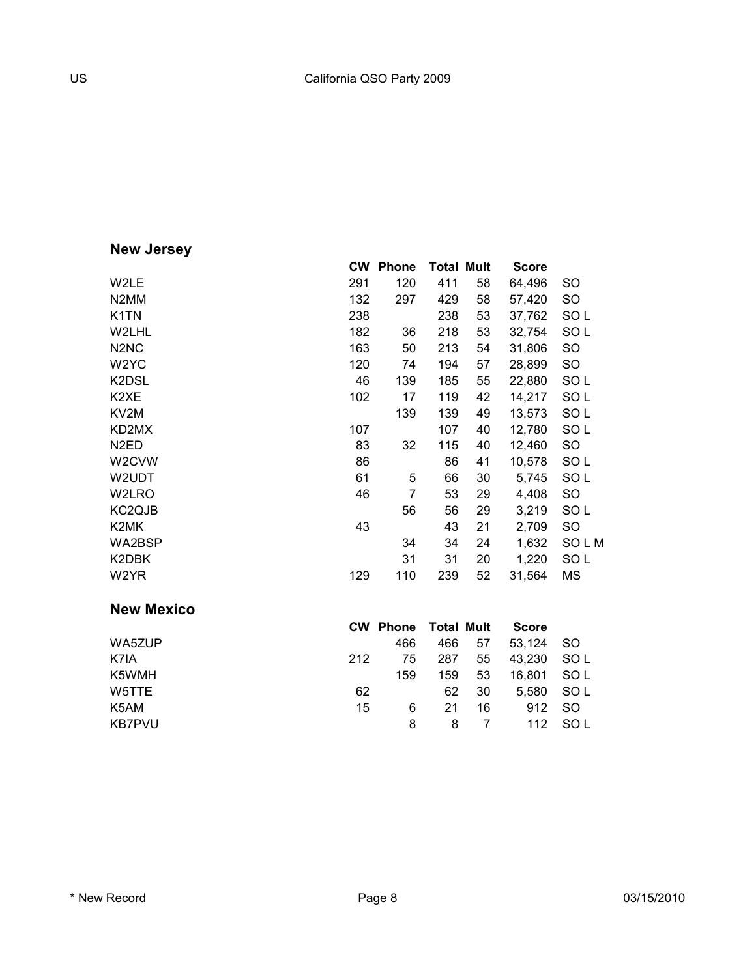# **New Jersey**

|                               | <b>CW</b> | <b>Phone</b> | <b>Total Mult</b> |    | <b>Score</b> |                 |
|-------------------------------|-----------|--------------|-------------------|----|--------------|-----------------|
| W2LE                          | 291       | 120          | 411               | 58 | 64,496       | SO              |
| N <sub>2</sub> MM             | 132       | 297          | 429               | 58 | 57,420       | SO              |
| K <sub>1</sub> TN             | 238       |              | 238               | 53 | 37,762       | SOL             |
| W2LHL                         | 182       | 36           | 218               | 53 | 32,754       | SOL             |
| N <sub>2</sub> N <sub>C</sub> | 163       | 50           | 213               | 54 | 31,806       | SO              |
| W2YC                          | 120       | 74           | 194               | 57 | 28,899       | SO              |
| K2DSL                         | 46        | 139          | 185               | 55 | 22,880       | SO <sub>L</sub> |
| K <sub>2</sub> XE             | 102       | 17           | 119               | 42 | 14,217       | SOL             |
| KV <sub>2</sub> M             |           | 139          | 139               | 49 | 13,573       | SOL             |
| KD2MX                         | 107       |              | 107               | 40 | 12,780       | SO L            |
| N <sub>2</sub> ED             | 83        | 32           | 115               | 40 | 12,460       | SO              |
| W <sub>2</sub> CVW            | 86        |              | 86                | 41 | 10,578       | SOL             |
| W2UDT                         | 61        | 5            | 66                | 30 | 5,745        | SOL             |
| W2LRO                         | 46        | 7            | 53                | 29 | 4,408        | SO              |
| KC <sub>2</sub> QJB           |           | 56           | 56                | 29 | 3,219        | SOL             |
| K2MK                          | 43        |              | 43                | 21 | 2,709        | SO              |
| WA2BSP                        |           | 34           | 34                | 24 | 1,632        | SOLM            |
| K2DBK                         |           | 31           | 31                | 20 | 1,220        | SO <sub>L</sub> |
| W2YR                          | 129       | 110          | 239               | 52 | 31,564       | <b>MS</b>       |
| <b>New Mexico</b>             |           |              |                   |    |              |                 |

|        |     | <b>CW Phone Total Mult</b> |     |    | <b>Score</b> |         |
|--------|-----|----------------------------|-----|----|--------------|---------|
| WA5ZUP |     | 466                        | 466 | 57 | 53.124       | - SO    |
| K7IA   | 212 | 75                         | 287 | 55 | 43.230       | SOL     |
| K5WMH  |     | 159                        | 159 | 53 | 16.801 SOL   |         |
| W5TTE. | 62  |                            | 62  | 30 | 5.580        | SOL     |
| K5AM   | 15  | 6                          | 21  | 16 | 912 SO       |         |
| KB7PVU |     | 8                          | 8   |    |              | 112 SOL |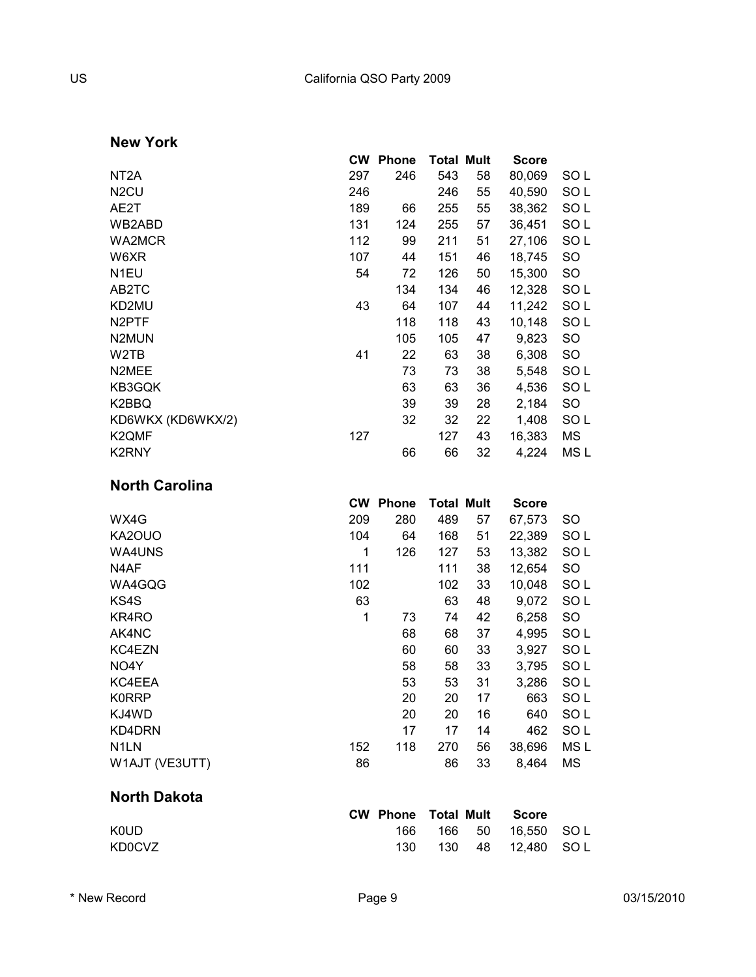**New York**

|                       |     | <b>CW Phone</b> | <b>Total Mult</b> |    | <b>Score</b> |                 |
|-----------------------|-----|-----------------|-------------------|----|--------------|-----------------|
| NT <sub>2</sub> A     | 297 | 246             | 543               | 58 | 80,069       | SO L            |
| N <sub>2</sub> CU     | 246 |                 | 246               | 55 | 40,590       | SO <sub>L</sub> |
| AE2T                  | 189 | 66              | 255               | 55 | 38,362       | SOL             |
| WB2ABD                | 131 | 124             | 255               | 57 | 36,451       | SO <sub>L</sub> |
| WA2MCR                | 112 | 99              | 211               | 51 | 27,106       | SO <sub>L</sub> |
| W6XR                  | 107 | 44              | 151               | 46 | 18,745       | SO              |
| N <sub>1EU</sub>      | 54  | 72              | 126               | 50 | 15,300       | SO              |
| AB2TC                 |     | 134             | 134               | 46 | 12,328       | SOL             |
| KD2MU                 | 43  | 64              | 107               | 44 | 11,242       | SOL             |
| N <sub>2</sub> PTF    |     | 118             | 118               | 43 | 10,148       | SO <sub>L</sub> |
| N <sub>2</sub> MUN    |     | 105             | 105               | 47 | 9,823        | SO              |
| W2TB                  | 41  | 22              | 63                | 38 | 6,308        | SO              |
| N2MEE                 |     | 73              | 73                | 38 | 5,548        | SOL             |
| KB3GQK                |     | 63              | 63                | 36 | 4,536        | SO <sub>L</sub> |
| K2BBQ                 |     | 39              | 39                | 28 | 2,184        | SO              |
| KD6WKX (KD6WKX/2)     |     | 32              | 32                | 22 | 1,408        | SO <sub>L</sub> |
| K2QMF                 | 127 |                 | 127               | 43 | 16,383       | <b>MS</b>       |
| K2RNY                 |     | 66              | 66                | 32 | 4,224        | MS <sub>L</sub> |
| <b>North Carolina</b> |     |                 |                   |    |              |                 |
|                       |     | <b>CW Phone</b> | <b>Total Mult</b> |    | <b>Score</b> |                 |
| WX4G                  | 209 | 280             | 489               | 57 | 67,573       | SO              |
| KA2OUO                | 104 | 64              | 168               | 51 | 22,389       | SOL             |
| WA4UNS                | 1   | 126             | 127               | 53 | 13,382       | SOL             |
| N4AF                  | 111 |                 | 111               | 38 | 12,654       | <b>SO</b>       |
| WA4GQG                | 102 |                 | 102               | 33 | 10,048       | SO <sub>L</sub> |
| KS4S                  | 63  |                 | 63                | 48 | 9,072        | SO <sub>L</sub> |
| KR4RO                 | 1   | 73              | 74                | 42 | 6,258        | <b>SO</b>       |
| AK4NC                 |     | 68              | 68                | 37 | 4,995        | SO <sub>L</sub> |
| KC4EZN                |     | 60              | 60                | 33 | 3,927        | SO <sub>L</sub> |

| AK4NC             |     | 68  | 68  | 37 | 4,995  | SO L |
|-------------------|-----|-----|-----|----|--------|------|
| KC4EZN            |     | 60  | 60  | 33 | 3.927  | SO L |
| NO <sub>4</sub> Y |     | 58  | 58  | 33 | 3,795  | SO L |
| KC4EEA            |     | 53  | 53  | 31 | 3,286  | SO L |
| <b>K0RRP</b>      |     | 20  | 20  | 17 | 663    | SO L |
| KJ4WD             |     | 20  | 20  | 16 | 640    | SO L |
| KD4DRN            |     | 17  | 17  | 14 | 462    | SO L |
| N <sub>1</sub> LN | 152 | 118 | 270 | 56 | 38,696 | MS L |
| W1AJT (VE3UTT)    | 86  |     | 86  | 33 | 8.464  | МS   |
|                   |     |     |     |    |        |      |

#### **North Dakota**

|             |     |  | <b>CW Phone Total Mult Score</b> |  |
|-------------|-----|--|----------------------------------|--|
| <b>KOUD</b> | 166 |  | 166 50 16.550 SOL                |  |
| KD0CVZ      |     |  | 130 48 12.480 SOL                |  |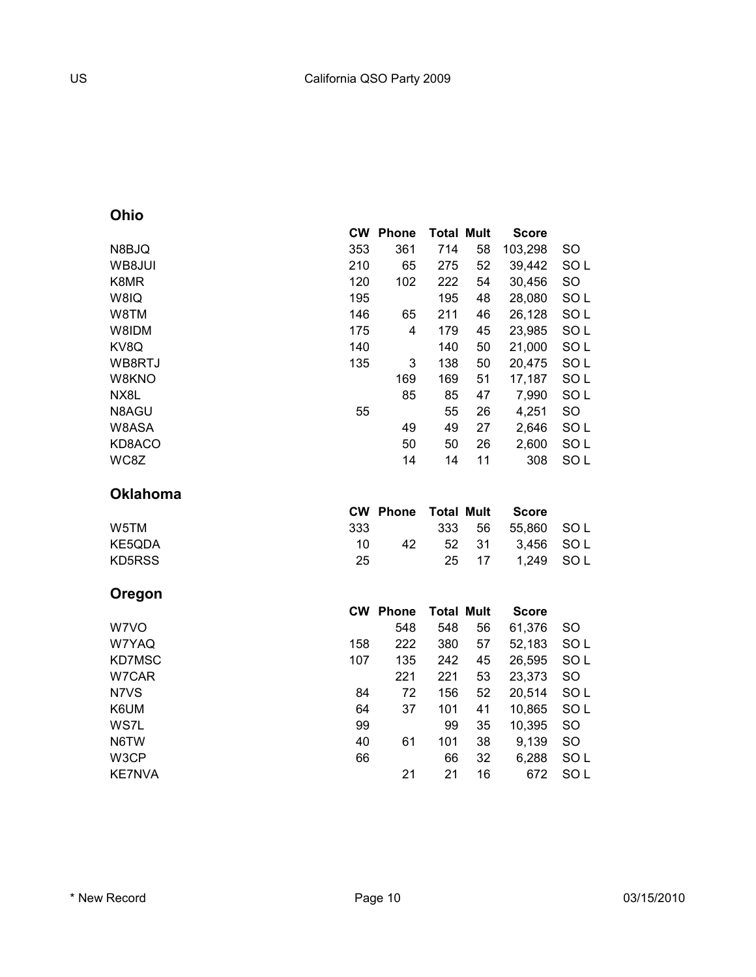### **Ohio**

|        | <b>CW</b> | <b>Phone</b> | <b>Total Mult</b> |    |              |                 |
|--------|-----------|--------------|-------------------|----|--------------|-----------------|
|        |           |              |                   |    | <b>Score</b> |                 |
| N8BJQ  | 353       | 361          | 714               | 58 | 103,298      | SO.             |
| WB8JUI | 210       | 65           | 275               | 52 | 39,442       | SO <sub>L</sub> |
| K8MR   | 120       | 102          | 222               | 54 | 30,456       | <b>SO</b>       |
| W8IQ   | 195       |              | 195               | 48 | 28,080       | SO <sub>L</sub> |
| W8TM   | 146       | 65           | 211               | 46 | 26,128       | SO <sub>L</sub> |
| W8IDM  | 175       | 4            | 179               | 45 | 23,985       | SO <sub>L</sub> |
| KV8Q   | 140       |              | 140               | 50 | 21,000       | SO <sub>L</sub> |
| WB8RTJ | 135       | 3            | 138               | 50 | 20,475       | SO <sub>L</sub> |
| W8KNO  |           | 169          | 169               | 51 | 17,187       | SO <sub>L</sub> |
| NX8L   |           | 85           | 85                | 47 | 7,990        | SO <sub>L</sub> |
| N8AGU  | 55        |              | 55                | 26 | 4,251        | <b>SO</b>       |
| W8ASA  |           | 49           | 49                | 27 | 2,646        | SO <sub>L</sub> |
| KD8ACO |           | 50           | 50                | 26 | 2,600        | SO <sub>L</sub> |
| WC8Z   |           | 14           | 14                | 11 | 308          | SO <sub>L</sub> |
|        |           |              |                   |    |              |                 |

#### **Oklahoma**

|        |     | <b>CW Phone Total Mult</b> |       | Score             |  |
|--------|-----|----------------------------|-------|-------------------|--|
| W5TM   | 333 |                            |       | 333 56 55.860 SOL |  |
| KE5ODA | 10. | 42                         |       | 52 31 3.456 SOL   |  |
| KD5RSS | 25  |                            | 25 17 | 1.249 SOL         |  |
|        |     |                            |       |                   |  |

#### **Oregon**

|        | <b>CW</b> | <b>Phone</b> | <b>Total Mult</b> |    | <b>Score</b> |                 |
|--------|-----------|--------------|-------------------|----|--------------|-----------------|
| W7VO   |           | 548          | 548               | 56 | 61,376       | <b>SO</b>       |
| W7YAQ  | 158       | 222          | 380               | 57 | 52,183       | SO <sub>L</sub> |
| KD7MSC | 107       | 135          | 242               | 45 | 26,595       | SO <sub>L</sub> |
| W7CAR  |           | 221          | 221               | 53 | 23,373       | <b>SO</b>       |
| N7VS   | 84        | 72           | 156               | 52 | 20,514       | SO <sub>L</sub> |
| K6UM   | 64        | 37           | 101               | 41 | 10,865       | SO <sub>L</sub> |
| WS7L   | 99        |              | 99                | 35 | 10,395       | <b>SO</b>       |
| N6TW   | 40        | 61           | 101               | 38 | 9,139        | <b>SO</b>       |
| W3CP   | 66        |              | 66                | 32 | 6,288        | SO <sub>L</sub> |
| KE7NVA |           | 21           | 21                | 16 | 672          | SO L            |
|        |           |              |                   |    |              |                 |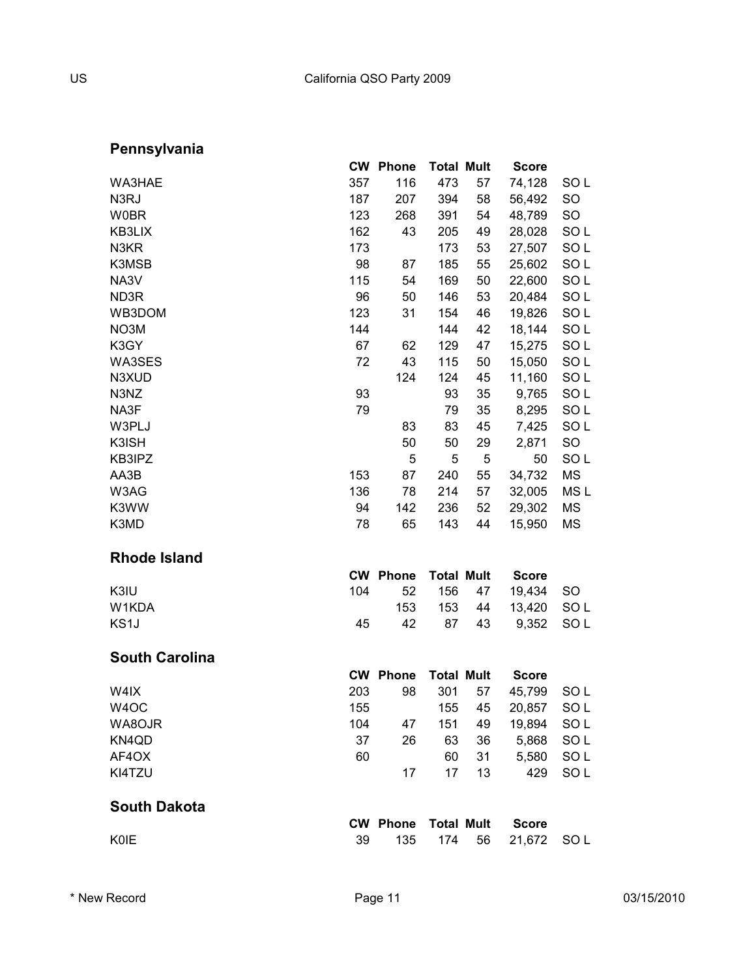# **Pennsylvania**

|                       |     | <b>CW Phone</b> | <b>Total Mult</b> |    | <b>Score</b> |                 |
|-----------------------|-----|-----------------|-------------------|----|--------------|-----------------|
| WA3HAE                | 357 | 116             | 473               | 57 | 74,128       | SO L            |
| N <sub>3</sub> RJ     | 187 | 207             | 394               | 58 | 56,492       | <b>SO</b>       |
| <b>W0BR</b>           | 123 | 268             | 391               | 54 | 48,789       | <b>SO</b>       |
| KB3LIX                | 162 | 43              | 205               | 49 | 28,028       | SO <sub>L</sub> |
| N3KR                  | 173 |                 | 173               | 53 | 27,507       | SO <sub>L</sub> |
| K3MSB                 | 98  | 87              | 185               | 55 | 25,602       | SO <sub>L</sub> |
| NA3V                  | 115 | 54              | 169               | 50 | 22,600       | SO <sub>L</sub> |
| ND3R                  | 96  | 50              | 146               | 53 | 20,484       | SO <sub>L</sub> |
| WB3DOM                | 123 | 31              | 154               | 46 | 19,826       | SO <sub>L</sub> |
| NO3M                  | 144 |                 | 144               | 42 | 18,144       | SO <sub>L</sub> |
| K3GY                  | 67  | 62              | 129               | 47 | 15,275       | SO <sub>L</sub> |
| WA3SES                | 72  | 43              | 115               | 50 | 15,050       | SO <sub>L</sub> |
| N3XUD                 |     | 124             | 124               | 45 | 11,160       | SO <sub>L</sub> |
| N3NZ                  | 93  |                 | 93                | 35 | 9,765        | SO <sub>L</sub> |
| NA3F                  | 79  |                 | 79                | 35 | 8,295        | SO <sub>L</sub> |
| W3PLJ                 |     | 83              | 83                | 45 | 7,425        | SO <sub>L</sub> |
| K3ISH                 |     | 50              | 50                | 29 | 2,871        | <b>SO</b>       |
| KB3IPZ                |     | 5               | 5                 | 5  | 50           | SO <sub>L</sub> |
| AA3B                  | 153 | 87              | 240               | 55 | 34,732       | <b>MS</b>       |
| W3AG                  | 136 | 78              | 214               | 57 | 32,005       | MS <sub>L</sub> |
| K3WW                  | 94  | 142             | 236               | 52 | 29,302       | <b>MS</b>       |
| K3MD                  | 78  | 65              | 143               | 44 | 15,950       | <b>MS</b>       |
| <b>Rhode Island</b>   |     |                 |                   |    |              |                 |
|                       |     | <b>CW Phone</b> | <b>Total Mult</b> |    | <b>Score</b> |                 |
| K3IU                  | 104 | 52              | 156               | 47 | 19,434       | SO              |
| W1KDA                 |     | 153             | 153               | 44 | 13,420       | SO <sub>L</sub> |
| KS1J                  | 45  | 42              | 87                | 43 | 9,352        | SO <sub>L</sub> |
| <b>South Carolina</b> |     |                 |                   |    |              |                 |
|                       |     | <b>CW Phone</b> | <b>Total Mult</b> |    | <b>Score</b> |                 |
| W4IX                  | 203 | 98              | 301               | 57 | 45,799       | SO L            |
| W <sub>4</sub> OC     | 155 |                 | 155               | 45 | 20,857       | SO <sub>L</sub> |
| WA8OJR                | 104 | 47              | 151               | 49 | 19,894       | SO <sub>L</sub> |
| KN4QD                 | 37  | 26              | 63                | 36 | 5,868        | SOL             |
| AF4OX                 | 60  |                 | 60                | 31 | 5,580        | SO <sub>L</sub> |
| KI4TZU                |     | 17              | 17                | 13 | 429          | SO <sub>L</sub> |
| <b>South Dakota</b>   |     |                 |                   |    |              |                 |
|                       |     | <b>CW Phone</b> | <b>Total Mult</b> |    | <b>Score</b> |                 |
| KOIE                  | 39  | 135             | 174               | 56 | 21,672       | SO L            |
|                       |     |                 |                   |    |              |                 |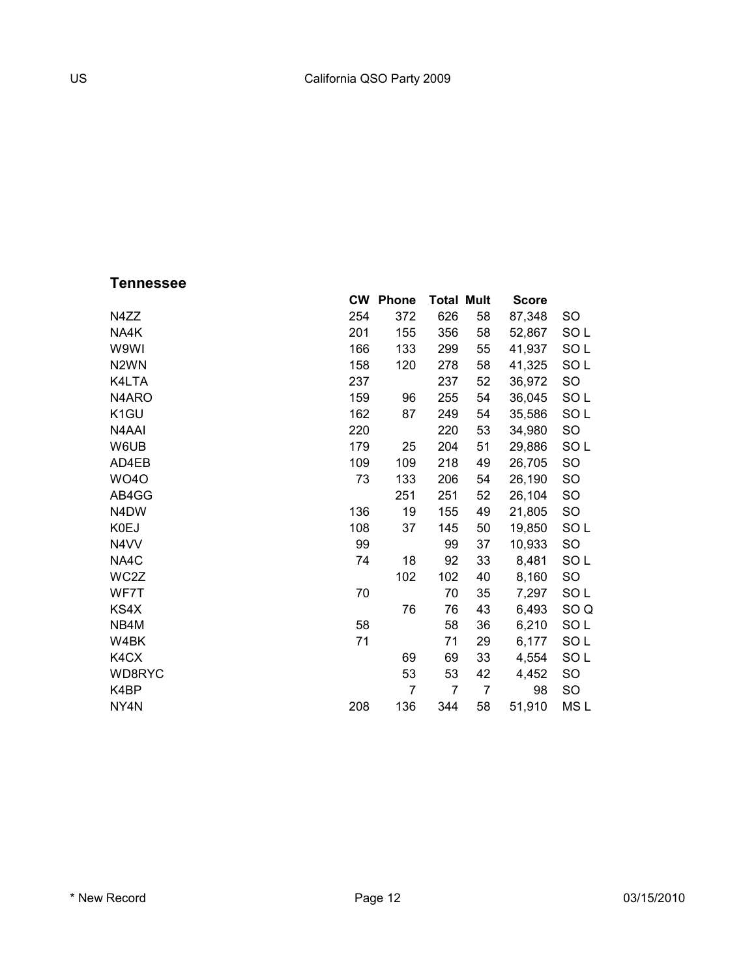### **Tennessee**

|                   | <b>CW</b> | <b>Phone</b>   | <b>Total Mult</b> |    | <b>Score</b> |                 |
|-------------------|-----------|----------------|-------------------|----|--------------|-----------------|
| N4ZZ              | 254       | 372            | 626               | 58 | 87,348       | <b>SO</b>       |
| NA4K              | 201       | 155            | 356               | 58 | 52,867       | SO <sub>L</sub> |
| W9WI              | 166       | 133            | 299               | 55 | 41,937       | SO <sub>L</sub> |
| N <sub>2</sub> WN | 158       | 120            | 278               | 58 | 41,325       | SO <sub>L</sub> |
| K4LTA             | 237       |                | 237               | 52 | 36,972       | SO              |
| N4ARO             | 159       | 96             | 255               | 54 | 36,045       | SO <sub>L</sub> |
| K <sub>1</sub> GU | 162       | 87             | 249               | 54 | 35,586       | SOL             |
| N4AAI             | 220       |                | 220               | 53 | 34,980       | <b>SO</b>       |
| W6UB              | 179       | 25             | 204               | 51 | 29,886       | SOL             |
| AD4EB             | 109       | 109            | 218               | 49 | 26,705       | SO              |
| <b>WO40</b>       | 73        | 133            | 206               | 54 | 26,190       | <b>SO</b>       |
| AB4GG             |           | 251            | 251               | 52 | 26,104       | <b>SO</b>       |
| N4DW              | 136       | 19             | 155               | 49 | 21,805       | <b>SO</b>       |
| K0EJ              | 108       | 37             | 145               | 50 | 19,850       | SOL             |
| N4VV              | 99        |                | 99                | 37 | 10,933       | <b>SO</b>       |
| NA4C              | 74        | 18             | 92                | 33 | 8,481        | SOL             |
| WC2Z              |           | 102            | 102               | 40 | 8,160        | <b>SO</b>       |
| WF7T              | 70        |                | 70                | 35 | 7,297        | SO <sub>L</sub> |
| KS4X              |           | 76             | 76                | 43 | 6,493        | SO <sub>Q</sub> |
| NB4M              | 58        |                | 58                | 36 | 6,210        | SO <sub>L</sub> |
| W4BK              | 71        |                | 71                | 29 | 6,177        | SOL             |
| K4CX              |           | 69             | 69                | 33 | 4,554        | SOL             |
| WD8RYC            |           | 53             | 53                | 42 | 4,452        | <b>SO</b>       |
| K4BP              |           | $\overline{7}$ | 7                 | 7  | 98           | SO              |
| NY4N              | 208       | 136            | 344               | 58 | 51,910       | MS L            |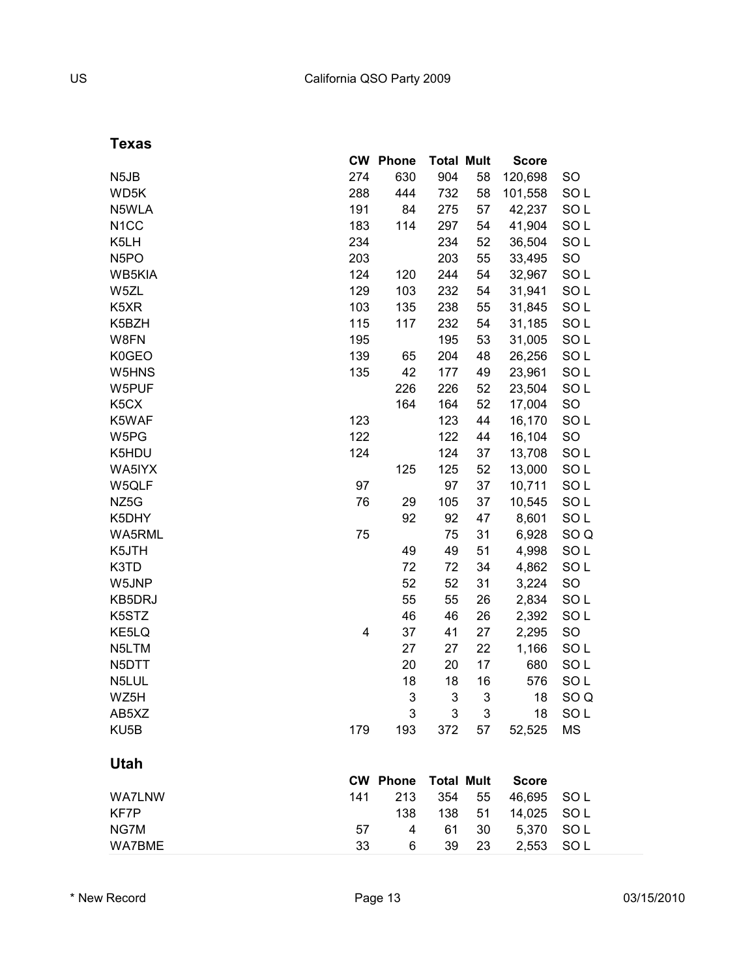| . .<br>v.<br>w<br>×<br>۰.<br>v |
|--------------------------------|
|--------------------------------|

|                   | <b>CW</b> | <b>Phone</b>    | <b>Total Mult</b> |    | <b>Score</b> |                 |
|-------------------|-----------|-----------------|-------------------|----|--------------|-----------------|
| N <sub>5</sub> JB | 274       | 630             | 904               | 58 | 120,698      | SO              |
| WD5K              | 288       | 444             | 732               | 58 | 101,558      | SO <sub>L</sub> |
| N5WLA             | 191       | 84              | 275               | 57 | 42,237       | SO <sub>L</sub> |
| N <sub>1</sub> CC | 183       | 114             | 297               | 54 | 41,904       | SO <sub>L</sub> |
| K5LH              | 234       |                 | 234               | 52 | 36,504       | SO <sub>L</sub> |
| N <sub>5</sub> PO | 203       |                 | 203               | 55 | 33,495       | SO              |
| WB5KIA            | 124       | 120             | 244               | 54 | 32,967       | SO <sub>L</sub> |
| W5ZL              | 129       | 103             | 232               | 54 | 31,941       | SO <sub>L</sub> |
| K5XR              | 103       | 135             | 238               | 55 | 31,845       | SO <sub>L</sub> |
| K5BZH             | 115       | 117             | 232               | 54 | 31,185       | SO <sub>L</sub> |
| W8FN              | 195       |                 | 195               | 53 | 31,005       | SO <sub>L</sub> |
| K0GEO             | 139       | 65              | 204               | 48 | 26,256       | SO <sub>L</sub> |
| W5HNS             | 135       | 42              | 177               | 49 | 23,961       | SO <sub>L</sub> |
| W5PUF             |           | 226             | 226               | 52 | 23,504       | SO <sub>L</sub> |
| K <sub>5</sub> CX |           | 164             | 164               | 52 | 17,004       | SO              |
| K5WAF             | 123       |                 | 123               | 44 | 16,170       | SO <sub>L</sub> |
| W5PG              | 122       |                 | 122               | 44 | 16,104       | <b>SO</b>       |
| K5HDU             | 124       |                 | 124               | 37 | 13,708       | SO <sub>L</sub> |
| WA5IYX            |           | 125             | 125               | 52 | 13,000       | SO <sub>L</sub> |
| W5QLF             | 97        |                 | 97                | 37 | 10,711       | SO <sub>L</sub> |
| NZ <sub>5</sub> G | 76        | 29              | 105               | 37 | 10,545       | SO <sub>L</sub> |
| K5DHY             |           | 92              | 92                | 47 | 8,601        | SO <sub>L</sub> |
| WA5RML            | 75        |                 | 75                | 31 | 6,928        | SO <sub>Q</sub> |
| K5JTH             |           | 49              | 49                | 51 | 4,998        | SO <sub>L</sub> |
| K3TD              |           | 72              | 72                | 34 | 4,862        | SO <sub>L</sub> |
| W5JNP             |           | 52              | 52                | 31 | 3,224        | SO              |
| KB5DRJ            |           | 55              | 55                | 26 | 2,834        | SO <sub>L</sub> |
| K5STZ             |           | 46              | 46                | 26 | 2,392        | SO <sub>L</sub> |
| KE5LQ             | 4         | 37              | 41                | 27 | 2,295        | SO              |
| N5LTM             |           | 27              | 27                | 22 | 1,166        | SO <sub>L</sub> |
| N5DTT             |           | 20              | 20                | 17 | 680          | SO <sub>L</sub> |
| N5LUL             |           | 18              | 18                | 16 | 576          | SO <sub>L</sub> |
| WZ5H              |           | 3               | 3                 | 3  | 18           | SO <sub>Q</sub> |
| AB5XZ             |           | 3               | 3                 | 3  | 18           | SO L            |
| KU <sub>5</sub> B | 179       | 193             | 372               | 57 | 52,525       | <b>MS</b>       |
| <b>Utah</b>       |           |                 |                   |    |              |                 |
|                   |           | <b>CW Phone</b> | <b>Total Mult</b> |    | <b>Score</b> |                 |
| <b>WA7LNW</b>     | 141       | 213             | 354               | 55 | 46,695       | SO <sub>L</sub> |
| KF7P              |           | 138             | 138               | 51 | 14,025       | SO <sub>L</sub> |
| NG7M              | 57        | 4               | 61                | 30 | 5,370        | SO <sub>L</sub> |
| <b>WA7BME</b>     | 33        | 6               | 39                | 23 | 2,553        | SO <sub>L</sub> |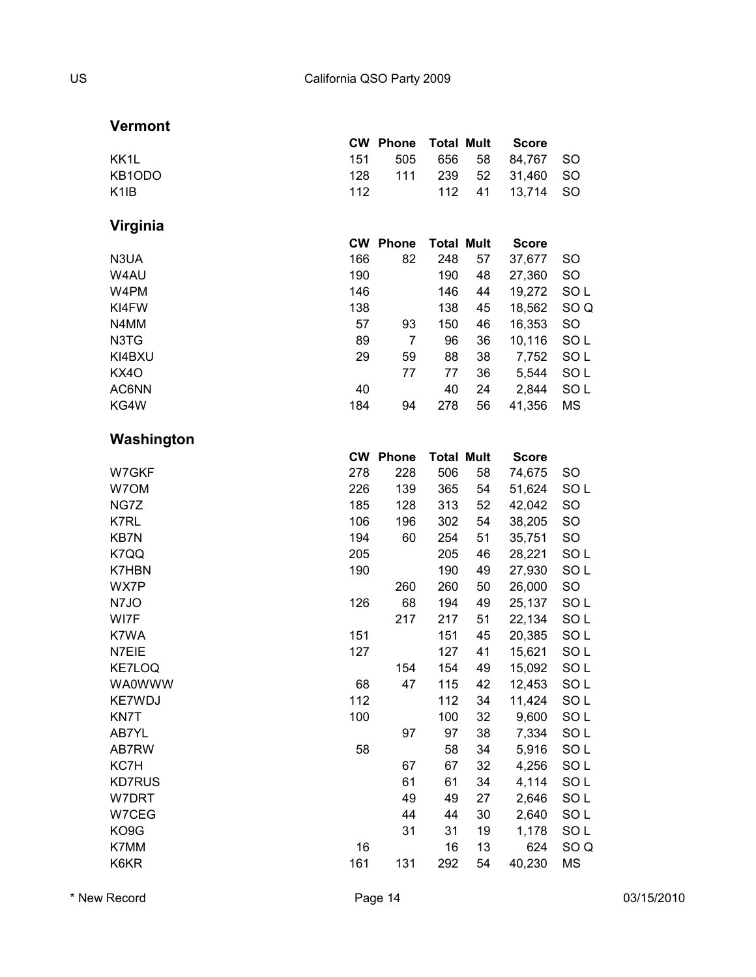#### **Vermont**

|         |     |  | <b>CW Phone Total Mult Score</b> |  |
|---------|-----|--|----------------------------------|--|
| KK1L    |     |  | 151 505 656 58 84.767 SO         |  |
| KB1ODO. |     |  | 128 111 239 52 31.460 SO         |  |
| K1IB    | 112 |  | 112 41 13.714 SO                 |  |
|         |     |  |                                  |  |

## **Virginia**

|        | <b>CW</b> | <b>Phone</b> | <b>Total Mult</b> |    | <b>Score</b> |                 |
|--------|-----------|--------------|-------------------|----|--------------|-----------------|
| N3UA   | 166       | 82           | 248               | 57 | 37,677       | <b>SO</b>       |
| W4AU   | 190       |              | 190               | 48 | 27,360       | <b>SO</b>       |
| W4PM   | 146       |              | 146               | 44 | 19,272       | SO <sub>L</sub> |
| KI4FW  | 138       |              | 138               | 45 | 18,562       | SO Q            |
| N4MM   | 57        | 93           | 150               | 46 | 16,353       | <b>SO</b>       |
| N3TG   | 89        | 7            | 96                | 36 | 10,116       | SO L            |
| KI4BXU | 29        | 59           | 88                | 38 | 7,752        | SO L            |
| KX4O   |           | 77           | 77                | 36 | 5,544        | SO <sub>L</sub> |
| AC6NN  | 40        |              | 40                | 24 | 2,844        | SO <sub>L</sub> |
| KG4W   | 184       | 94           | 278               | 56 | 41,356       | МS              |

#### **Washington**

|        |     | <b>CW Phone</b> | <b>Total Mult</b> |    | <b>Score</b> |                 |
|--------|-----|-----------------|-------------------|----|--------------|-----------------|
| W7GKF  | 278 | 228             | 506               | 58 | 74,675       | SO              |
| W7OM   | 226 | 139             | 365               | 54 | 51,624       | SO <sub>L</sub> |
| NG7Z   | 185 | 128             | 313               | 52 | 42,042       | <b>SO</b>       |
| K7RL   | 106 | 196             | 302               | 54 | 38,205       | <b>SO</b>       |
| KB7N   | 194 | 60              | 254               | 51 | 35,751       | SO              |
| K7QQ   | 205 |                 | 205               | 46 | 28,221       | SO <sub>L</sub> |
| K7HBN  | 190 |                 | 190               | 49 | 27,930       | SOL             |
| WX7P   |     | 260             | 260               | 50 | 26,000       | SO              |
| N7JO   | 126 | 68              | 194               | 49 | 25,137       | SO <sub>L</sub> |
| WI7F   |     | 217             | 217               | 51 | 22,134       | SOL             |
| K7WA   | 151 |                 | 151               | 45 | 20,385       | SO <sub>L</sub> |
| N7EIE  | 127 |                 | 127               | 41 | 15,621       | SOL             |
| KE7LOQ |     | 154             | 154               | 49 | 15,092       | SO <sub>L</sub> |
| WA0WWW | 68  | 47              | 115               | 42 | 12,453       | SOL             |
| KE7WDJ | 112 |                 | 112               | 34 | 11,424       | SO <sub>L</sub> |
| KN7T   | 100 |                 | 100               | 32 | 9,600        | SO <sub>L</sub> |
| AB7YL  |     | 97              | 97                | 38 | 7,334        | SO <sub>L</sub> |
| AB7RW  | 58  |                 | 58                | 34 | 5,916        | SO <sub>L</sub> |
| KC7H   |     | 67              | 67                | 32 | 4,256        | SOL             |
| KD7RUS |     | 61              | 61                | 34 | 4,114        | SO <sub>L</sub> |
| W7DRT  |     | 49              | 49                | 27 | 2,646        | SO <sub>L</sub> |
| W7CEG  |     | 44              | 44                | 30 | 2,640        | SOL             |
| KO9G   |     | 31              | 31                | 19 | 1,178        | SO <sub>L</sub> |
| K7MM   | 16  |                 | 16                | 13 | 624          | SO <sub>Q</sub> |
| K6KR   | 161 | 131             | 292               | 54 | 40,230       | <b>MS</b>       |
|        |     |                 |                   |    |              |                 |